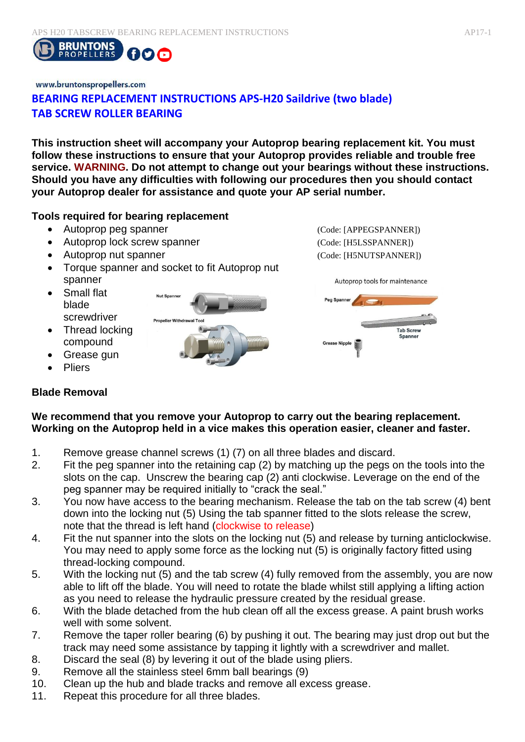

# www.bruntonspropellers.com **BEARING REPLACEMENT INSTRUCTIONS APS-H20 Saildrive (two blade) TAB SCREW ROLLER BEARING**

**This instruction sheet will accompany your Autoprop bearing replacement kit. You must follow these instructions to ensure that your Autoprop provides reliable and trouble free service. WARNING. Do not attempt to change out your bearings without these instructions. Should you have any difficulties with following our procedures then you should contact your Autoprop dealer for assistance and quote your AP serial number.** 

### **Tools required for bearing replacement**

- Autoprop peg spanner (Code: [APPEGSPANNER])
- Autoprop lock screw spanner (Code: [H5LSSPANNER])
- Autoprop nut spanner (Code: [H5NUTSPANNER])
- Torque spanner and socket to fit Autoprop nut spanner
- Small flat blade screwdriver
- Thread locking compound
- Grease gun
- Pliers

# **Blade Removal**

# **Nut Spanne Propeller Withdrawal**



## **We recommend that you remove your Autoprop to carry out the bearing replacement. Working on the Autoprop held in a vice makes this operation easier, cleaner and faster.**

- 1. Remove grease channel screws (1) (7) on all three blades and discard.
- 2. Fit the peg spanner into the retaining cap (2) by matching up the pegs on the tools into the slots on the cap. Unscrew the bearing cap (2) anti clockwise. Leverage on the end of the peg spanner may be required initially to "crack the seal."
- 3. You now have access to the bearing mechanism. Release the tab on the tab screw (4) bent down into the locking nut (5) Using the tab spanner fitted to the slots release the screw, note that the thread is left hand (clockwise to release)
- 4. Fit the nut spanner into the slots on the locking nut (5) and release by turning anticlockwise. You may need to apply some force as the locking nut (5) is originally factory fitted using thread-locking compound.
- 5. With the locking nut (5) and the tab screw (4) fully removed from the assembly, you are now able to lift off the blade. You will need to rotate the blade whilst still applying a lifting action as you need to release the hydraulic pressure created by the residual grease.
- 6. With the blade detached from the hub clean off all the excess grease. A paint brush works well with some solvent.
- 7. Remove the taper roller bearing (6) by pushing it out. The bearing may just drop out but the track may need some assistance by tapping it lightly with a screwdriver and mallet.
- 8. Discard the seal (8) by levering it out of the blade using pliers.
- 9. Remove all the stainless steel 6mm ball bearings (9)
- 10. Clean up the hub and blade tracks and remove all excess grease.
- 11. Repeat this procedure for all three blades.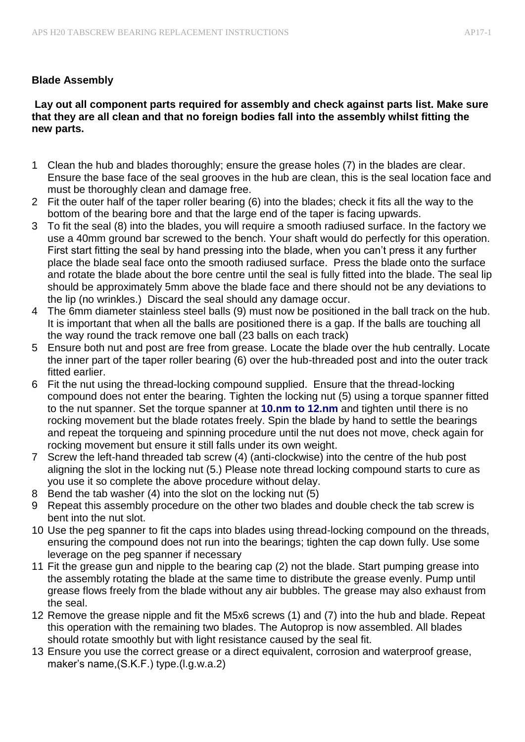## **Blade Assembly**

### **Lay out all component parts required for assembly and check against parts list. Make sure that they are all clean and that no foreign bodies fall into the assembly whilst fitting the new parts.**

- 1 Clean the hub and blades thoroughly; ensure the grease holes (7) in the blades are clear. Ensure the base face of the seal grooves in the hub are clean, this is the seal location face and must be thoroughly clean and damage free.
- 2 Fit the outer half of the taper roller bearing (6) into the blades; check it fits all the way to the bottom of the bearing bore and that the large end of the taper is facing upwards.
- 3 To fit the seal (8) into the blades, you will require a smooth radiused surface. In the factory we use a 40mm ground bar screwed to the bench. Your shaft would do perfectly for this operation. First start fitting the seal by hand pressing into the blade, when you can't press it any further place the blade seal face onto the smooth radiused surface. Press the blade onto the surface and rotate the blade about the bore centre until the seal is fully fitted into the blade. The seal lip should be approximately 5mm above the blade face and there should not be any deviations to the lip (no wrinkles.) Discard the seal should any damage occur.
- 4 The 6mm diameter stainless steel balls (9) must now be positioned in the ball track on the hub. It is important that when all the balls are positioned there is a gap. If the balls are touching all the way round the track remove one ball (23 balls on each track)
- 5 Ensure both nut and post are free from grease. Locate the blade over the hub centrally. Locate the inner part of the taper roller bearing (6) over the hub-threaded post and into the outer track fitted earlier.
- 6 Fit the nut using the thread-locking compound supplied. Ensure that the thread-locking compound does not enter the bearing. Tighten the locking nut (5) using a torque spanner fitted to the nut spanner. Set the torque spanner at **10.nm to 12.nm** and tighten until there is no rocking movement but the blade rotates freely. Spin the blade by hand to settle the bearings and repeat the torqueing and spinning procedure until the nut does not move, check again for rocking movement but ensure it still falls under its own weight.
- 7 Screw the left-hand threaded tab screw (4) (anti-clockwise) into the centre of the hub post aligning the slot in the locking nut (5.) Please note thread locking compound starts to cure as you use it so complete the above procedure without delay.
- 8 Bend the tab washer (4) into the slot on the locking nut (5)
- 9 Repeat this assembly procedure on the other two blades and double check the tab screw is bent into the nut slot.
- 10 Use the peg spanner to fit the caps into blades using thread-locking compound on the threads, ensuring the compound does not run into the bearings; tighten the cap down fully. Use some leverage on the peg spanner if necessary
- 11 Fit the grease gun and nipple to the bearing cap (2) not the blade. Start pumping grease into the assembly rotating the blade at the same time to distribute the grease evenly. Pump until grease flows freely from the blade without any air bubbles. The grease may also exhaust from the seal.
- 12 Remove the grease nipple and fit the M5x6 screws (1) and (7) into the hub and blade. Repeat this operation with the remaining two blades. The Autoprop is now assembled. All blades should rotate smoothly but with light resistance caused by the seal fit.
- 13 Ensure you use the correct grease or a direct equivalent, corrosion and waterproof grease, maker's name,(S.K.F.) type.(l.g.w.a.2)